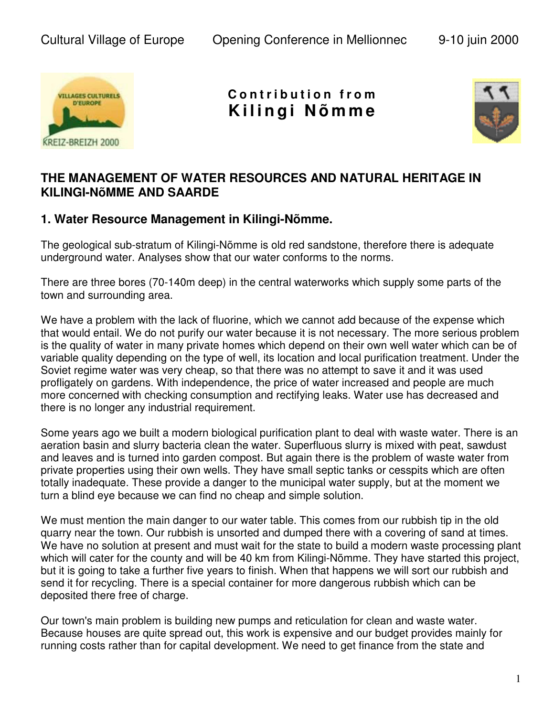

**C o n t r i b u t i o n f r o m K ili n g i N õ m m e**



## **THE MANAGEMENT OF WATER RESOURCES AND NATURAL HERITAGE IN KILINGI-NõMME AND SAARDE**

## **1. Water Resource Management in Kilingi-Nõmme.**

The geological sub-stratum of Kilingi-Nõmme is old red sandstone, therefore there is adequate underground water. Analyses show that our water conforms to the norms.

There are three bores (70-140m deep) in the central waterworks which supply some parts of the town and surrounding area.

We have a problem with the lack of fluorine, which we cannot add because of the expense which that would entail. We do not purify our water because it is not necessary. The more serious problem is the quality of water in many private homes which depend on their own well water which can be of variable quality depending on the type of well, its location and local purification treatment. Under the Soviet regime water was very cheap, so that there was no attempt to save it and it was used profligately on gardens. With independence, the price of water increased and people are much more concerned with checking consumption and rectifying leaks. Water use has decreased and there is no longer any industrial requirement.

Some years ago we built a modern biological purification plant to deal with waste water. There is an aeration basin and slurry bacteria clean the water. Superfluous slurry is mixed with peat, sawdust and leaves and is turned into garden compost. But again there is the problem of waste water from private properties using their own wells. They have small septic tanks or cesspits which are often totally inadequate. These provide a danger to the municipal water supply, but at the moment we turn a blind eye because we can find no cheap and simple solution.

We must mention the main danger to our water table. This comes from our rubbish tip in the old quarry near the town. Our rubbish is unsorted and dumped there with a covering of sand at times. We have no solution at present and must wait for the state to build a modern waste processing plant which will cater for the county and will be 40 km from Kilingi-Nõmme. They have started this project, but it is going to take a further five years to finish. When that happens we will sort our rubbish and send it for recycling. There is a special container for more dangerous rubbish which can be deposited there free of charge.

Our town's main problem is building new pumps and reticulation for clean and waste water. Because houses are quite spread out, this work is expensive and our budget provides mainly for running costs rather than for capital development. We need to get finance from the state and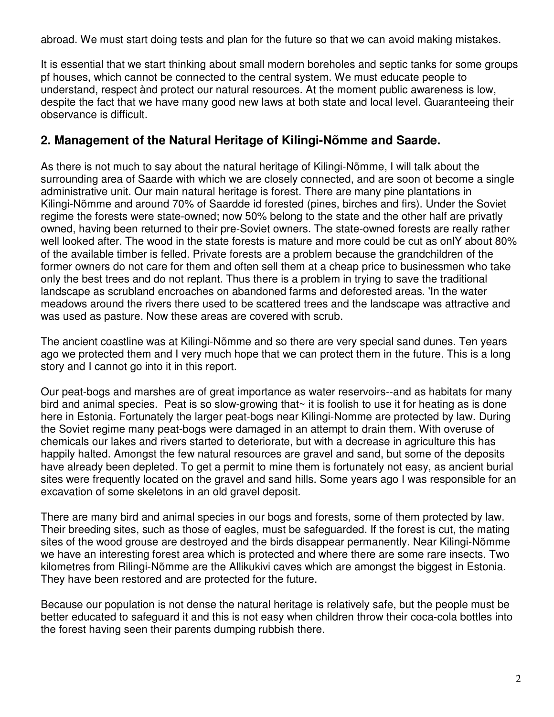abroad. We must start doing tests and plan for the future so that we can avoid making mistakes.

It is essential that we start thinking about small modern boreholes and septic tanks for some groups pf houses, which cannot be connected to the central system. We must educate people to understand, respect ànd protect our natural resources. At the moment public awareness is low, despite the fact that we have many good new laws at both state and local level. Guaranteeing their observance is difficult.

## **2. Management of the Natural Heritage of Kilingi-Nõmme and Saarde.**

As there is not much to say about the natural heritage of Kilingi-Nõmme, I will talk about the surrounding area of Saarde with which we are closely connected, and are soon ot become a single administrative unit. Our main natural heritage is forest. There are many pine plantations in Kilingi-Nõmme and around 70% of Saardde id forested (pines, birches and firs). Under the Soviet regime the forests were state-owned; now 50% belong to the state and the other half are privatly owned, having been returned to their pre-Soviet owners. The state-owned forests are really rather well looked after. The wood in the state forests is mature and more could be cut as onlY about 80% of the available timber is felled. Private forests are a problem because the grandchildren of the former owners do not care for them and often sell them at a cheap price to businessmen who take only the best trees and do not replant. Thus there is a problem in trying to save the traditional landscape as scrubland encroaches on abandoned farms and deforested areas. 'In the water meadows around the rivers there used to be scattered trees and the landscape was attractive and was used as pasture. Now these areas are covered with scrub.

The ancient coastline was at Kilingi-Nõmme and so there are very special sand dunes. Ten years ago we protected them and I very much hope that we can protect them in the future. This is a long story and I cannot go into it in this report.

Our peat-bogs and marshes are of great importance as water reservoirs--and as habitats for many bird and animal species. Peat is so slow-growing that $\sim$  it is foolish to use it for heating as is done here in Estonia. Fortunately the larger peat-bogs near Kilingi-Nomme are protected by law. During the Soviet regime many peat-bogs were damaged in an attempt to drain them. With overuse of chemicals our lakes and rivers started to deteriorate, but with a decrease in agriculture this has happily halted. Amongst the few natural resources are gravel and sand, but some of the deposits have already been depleted. To get a permit to mine them is fortunately not easy, as ancient burial sites were frequently located on the gravel and sand hills. Some years ago I was responsible for an excavation of some skeletons in an old gravel deposit.

There are many bird and animal species in our bogs and forests, some of them protected by law. Their breeding sites, such as those of eagles, must be safeguarded. If the forest is cut, the mating sites of the wood grouse are destroyed and the birds disappear permanently. Near Kilingi-Nõmme we have an interesting forest area which is protected and where there are some rare insects. Two kilometres from Rilingi-Nõmme are the Allikukivi caves which are amongst the biggest in Estonia. They have been restored and are protected for the future.

Because our population is not dense the natural heritage is relatively safe, but the people must be better educated to safeguard it and this is not easy when children throw their coca-cola bottles into the forest having seen their parents dumping rubbish there.